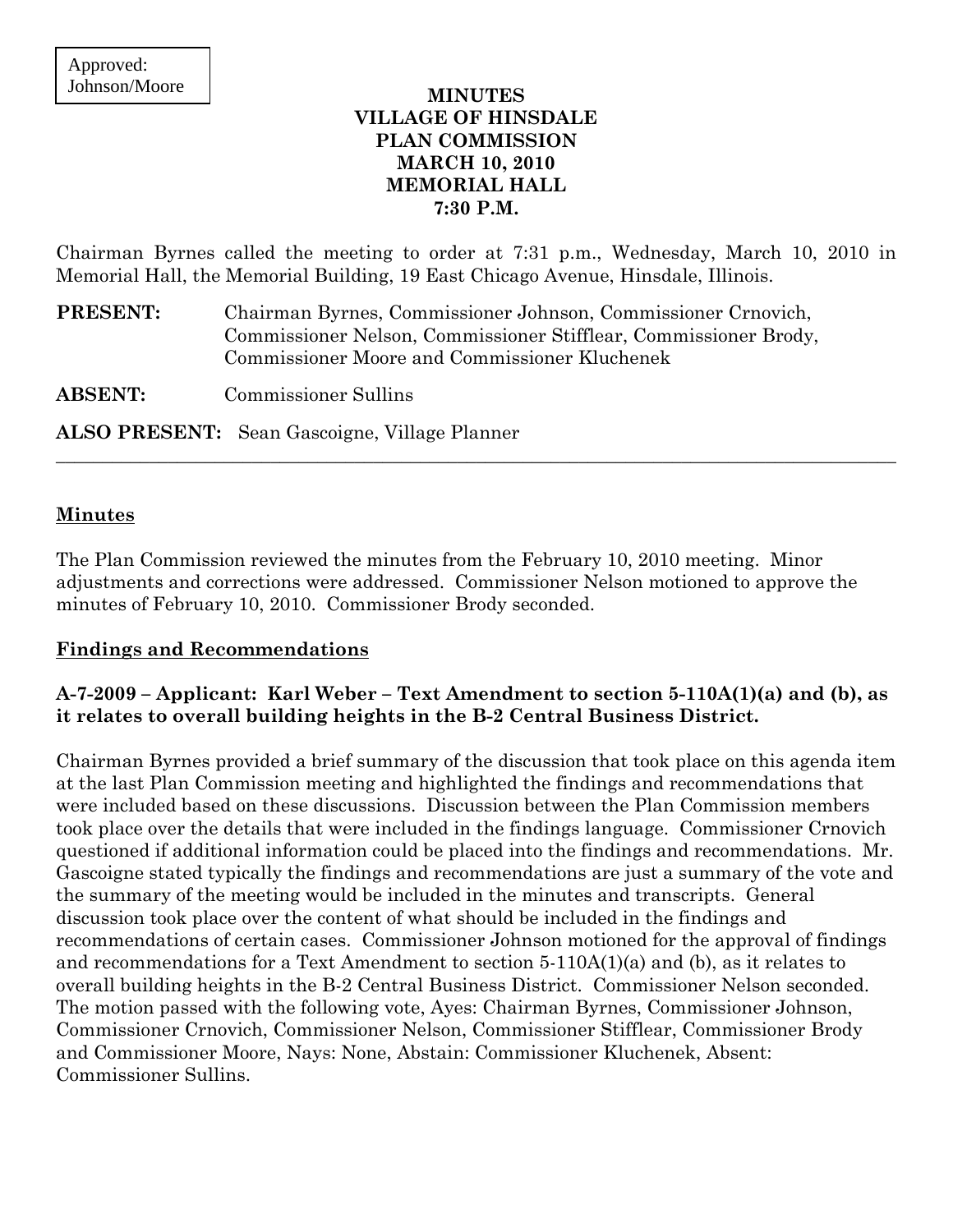### **MINUTES VILLAGE OF HINSDALE PLAN COMMISSION MARCH 10, 2010 MEMORIAL HALL 7:30 P.M.**

Chairman Byrnes called the meeting to order at 7:31 p.m., Wednesday, March 10, 2010 in Memorial Hall, the Memorial Building, 19 East Chicago Avenue, Hinsdale, Illinois.

 $\_$  , and the set of the set of the set of the set of the set of the set of the set of the set of the set of the set of the set of the set of the set of the set of the set of the set of the set of the set of the set of th

**PRESENT:** Chairman Byrnes, Commissioner Johnson, Commissioner Crnovich, Commissioner Nelson, Commissioner Stifflear, Commissioner Brody, Commissioner Moore and Commissioner Kluchenek

**ABSENT:** Commissioner Sullins

**ALSO PRESENT:** Sean Gascoigne, Village Planner

#### **Minutes**

The Plan Commission reviewed the minutes from the February 10, 2010 meeting. Minor adjustments and corrections were addressed. Commissioner Nelson motioned to approve the minutes of February 10, 2010. Commissioner Brody seconded.

#### **Findings and Recommendations**

### **A-7-2009 – Applicant: Karl Weber – Text Amendment to section 5-110A(1)(a) and (b), as it relates to overall building heights in the B-2 Central Business District.**

Chairman Byrnes provided a brief summary of the discussion that took place on this agenda item at the last Plan Commission meeting and highlighted the findings and recommendations that were included based on these discussions. Discussion between the Plan Commission members took place over the details that were included in the findings language. Commissioner Crnovich questioned if additional information could be placed into the findings and recommendations. Mr. Gascoigne stated typically the findings and recommendations are just a summary of the vote and the summary of the meeting would be included in the minutes and transcripts. General discussion took place over the content of what should be included in the findings and recommendations of certain cases. Commissioner Johnson motioned for the approval of findings and recommendations for a Text Amendment to section  $5-110A(1)(a)$  and (b), as it relates to overall building heights in the B-2 Central Business District. Commissioner Nelson seconded. The motion passed with the following vote, Ayes: Chairman Byrnes, Commissioner Johnson, Commissioner Crnovich, Commissioner Nelson, Commissioner Stifflear, Commissioner Brody and Commissioner Moore, Nays: None, Abstain: Commissioner Kluchenek, Absent: Commissioner Sullins.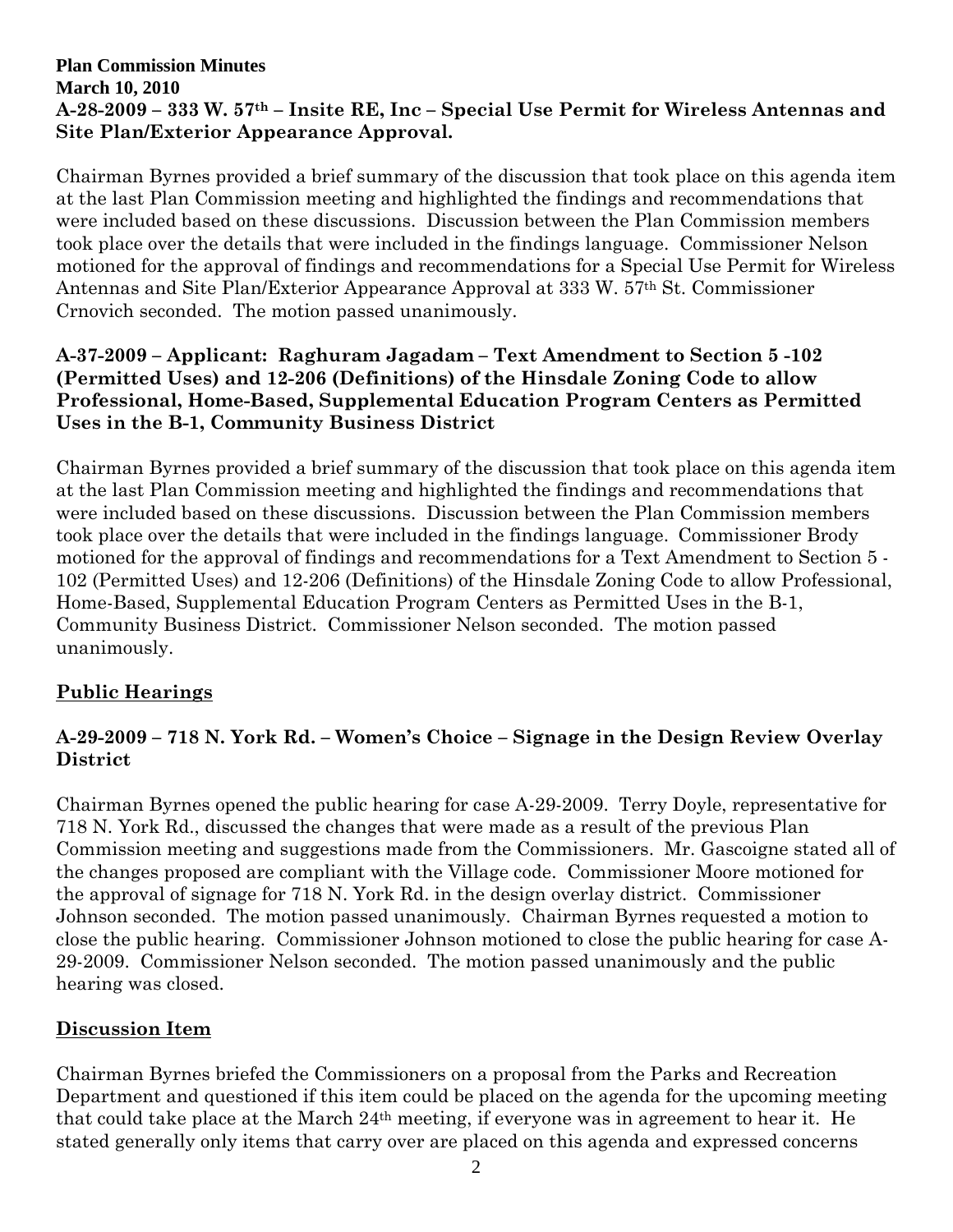### **Plan Commission Minutes March 10, 2010 A-28-2009 – 333 W. 57th – Insite RE, Inc – Special Use Permit for Wireless Antennas and Site Plan/Exterior Appearance Approval.**

Chairman Byrnes provided a brief summary of the discussion that took place on this agenda item at the last Plan Commission meeting and highlighted the findings and recommendations that were included based on these discussions. Discussion between the Plan Commission members took place over the details that were included in the findings language. Commissioner Nelson motioned for the approval of findings and recommendations for a Special Use Permit for Wireless Antennas and Site Plan/Exterior Appearance Approval at 333 W. 57th St. Commissioner Crnovich seconded. The motion passed unanimously.

## **A-37-2009 – Applicant: Raghuram Jagadam – Text Amendment to Section 5 -102 (Permitted Uses) and 12-206 (Definitions) of the Hinsdale Zoning Code to allow Professional, Home-Based, Supplemental Education Program Centers as Permitted Uses in the B-1, Community Business District**

Chairman Byrnes provided a brief summary of the discussion that took place on this agenda item at the last Plan Commission meeting and highlighted the findings and recommendations that were included based on these discussions. Discussion between the Plan Commission members took place over the details that were included in the findings language. Commissioner Brody motioned for the approval of findings and recommendations for a Text Amendment to Section 5 - 102 (Permitted Uses) and 12-206 (Definitions) of the Hinsdale Zoning Code to allow Professional, Home-Based, Supplemental Education Program Centers as Permitted Uses in the B-1, Community Business District. Commissioner Nelson seconded. The motion passed unanimously.

# **Public Hearings**

# **A-29-2009 – 718 N. York Rd. – Women's Choice – Signage in the Design Review Overlay District**

Chairman Byrnes opened the public hearing for case A-29-2009. Terry Doyle, representative for 718 N. York Rd., discussed the changes that were made as a result of the previous Plan Commission meeting and suggestions made from the Commissioners. Mr. Gascoigne stated all of the changes proposed are compliant with the Village code. Commissioner Moore motioned for the approval of signage for 718 N. York Rd. in the design overlay district. Commissioner Johnson seconded. The motion passed unanimously. Chairman Byrnes requested a motion to close the public hearing. Commissioner Johnson motioned to close the public hearing for case A-29-2009. Commissioner Nelson seconded. The motion passed unanimously and the public hearing was closed.

## **Discussion Item**

Chairman Byrnes briefed the Commissioners on a proposal from the Parks and Recreation Department and questioned if this item could be placed on the agenda for the upcoming meeting that could take place at the March 24th meeting, if everyone was in agreement to hear it. He stated generally only items that carry over are placed on this agenda and expressed concerns